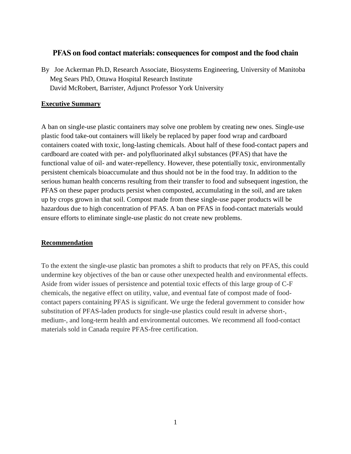# **PFAS on food contact materials: consequences for compost and the food chain**

By Joe Ackerman Ph.D, Research Associate, Biosystems Engineering, University of Manitoba Meg Sears PhD, Ottawa Hospital Research Institute David McRobert, Barrister, Adjunct Professor York University

## **Executive Summary**

A ban on single-use plastic containers may solve one problem by creating new ones. Single-use plastic food take-out containers will likely be replaced by paper food wrap and cardboard containers coated with toxic, long-lasting chemicals. About half of these food-contact papers and cardboard are coated with per- and polyfluorinated alkyl substances (PFAS) that have the functional value of oil- and water-repellency. However, these potentially toxic, environmentally persistent chemicals bioaccumulate and thus should not be in the food tray. In addition to the serious human health concerns resulting from their transfer to food and subsequent ingestion, the PFAS on these paper products persist when composted, accumulating in the soil, and are taken up by crops grown in that soil. Compost made from these single-use paper products will be hazardous due to high concentration of PFAS. A ban on PFAS in food-contact materials would ensure efforts to eliminate single-use plastic do not create new problems.

## **Recommendation**

To the extent the single-use plastic ban promotes a shift to products that rely on PFAS, this could undermine key objectives of the ban or cause other unexpected health and environmental effects. Aside from wider issues of persistence and potential toxic effects of this large group of C-F chemicals, the negative effect on utility, value, and eventual fate of compost made of foodcontact papers containing PFAS is significant. We urge the federal government to consider how substitution of PFAS-laden products for single-use plastics could result in adverse short-, medium-, and long-term health and environmental outcomes. We recommend all food-contact materials sold in Canada require PFAS-free certification.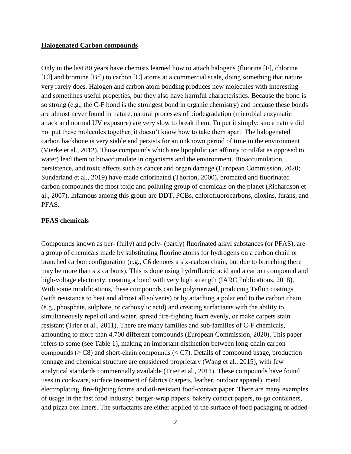#### **Halogenated Carbon compounds**

Only in the last 80 years have chemists learned how to attach halogens (fluorine [F], chlorine [Cl] and bromine [Br]) to carbon [C] atoms at a commercial scale, doing something that nature very rarely does. Halogen and carbon atom bonding produces new molecules with interesting and sometimes useful properties, but they also have harmful characteristics. Because the bond is so strong (e.g., the C-F bond is the strongest bond in organic chemistry) and because these bonds are almost never found in nature, natural processes of biodegradation (microbial enzymatic attack and normal UV exposure) are very slow to break them. To put it simply: since nature did not put these molecules together, it doesn't know how to take them apart. The halogenated carbon backbone is very stable and persists for an unknown period of time in the environment (Vierke et al., 2012). Those compounds which are lipophilic (an affinity to oil/fat as opposed to water) lead them to bioaccumulate in organisms and the environment. Bioaccumulation, persistence, and toxic effects such as cancer and organ damage (European Commission, 2020; Sunderland et al., 2019) have made chlorinated (Thorton, 2000), bromated and fluorinated carbon compounds the most toxic and polluting group of chemicals on the planet (Richardson et al., 2007). Infamous among this group are DDT, PCBs, chlorofluorocarbons, dioxins, furans, and PFAS.

#### **PFAS chemicals**

Compounds known as per- (fully) and poly- (partly) fluorinated alkyl substances (or PFAS), are a group of chemicals made by substituting fluorine atoms for hydrogens on a carbon chain or branched carbon configuration (e.g., C6 denotes a six-carbon chain, but due to branching there may be more than six carbons). This is done using hydrofluoric acid and a carbon compound and high-voltage electricity, creating a bond with very high strength (IARC Publications, 2018). With some modifications, these compounds can be polymerized, producing Teflon coatings (with resistance to heat and almost all solvents) or by attaching a polar end to the carbon chain (e.g., phosphate, sulphate, or carboxylic acid) and creating surfactants with the ability to simultaneously repel oil and water, spread fire-fighting foam evenly, or make carpets stain resistant (Trier et al., 2011). There are many families and sub-families of C-F chemicals, amounting to more than 4,700 different compounds (European Commission, 2020). This paper refers to some (see Table 1), making an important distinction between long-chain carbon compounds ( $\geq$  C8) and short-chain compounds ( $\leq$  C7). Details of compound usage, production tonnage and chemical structure are considered proprietary (Wang et al., 2015), with few analytical standards commercially available (Trier et al., 2011). These compounds have found uses in cookware, surface treatment of fabrics (carpets, leather, outdoor apparel), metal electroplating, fire-fighting foams and oil-resistant food-contact paper. There are many examples of usage in the fast food industry: burger-wrap papers, bakery contact papers, to-go containers, and pizza box liners. The surfactants are either applied to the surface of food packaging or added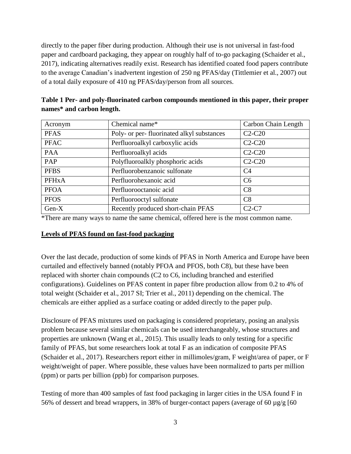directly to the paper fiber during production. Although their use is not universal in fast-food paper and cardboard packaging, they appear on roughly half of to-go packaging (Schaider et al., 2017), indicating alternatives readily exist. Research has identified coated food papers contribute to the average Canadian's inadvertent ingestion of 250 ng PFAS/day (Tittlemier et al., 2007) out of a total daily exposure of 410 ng PFAS/day/person from all sources.

| Acronym      | Chemical name*                            | Carbon Chain Length |
|--------------|-------------------------------------------|---------------------|
| <b>PFAS</b>  | Poly- or per-fluorinated alkyl substances | $C2-C20$            |
| <b>PFAC</b>  | Perfluoroalkyl carboxylic acids           | $C2-C20$            |
| <b>PAA</b>   | Perfluoroalkyl acids                      | $C2-C20$            |
| PAP          | Polyfluoroalkly phosphoric acids          | $C2-C20$            |
| <b>PFBS</b>  | Perfluorobenzanoic sulfonate              | C <sub>4</sub>      |
| <b>PFHxA</b> | Perfluorohexanoic acid                    | C <sub>6</sub>      |
| <b>PFOA</b>  | Perfluorooctanoic acid                    | C8                  |
| <b>PFOS</b>  | Perfluorooctyl sulfonate                  | C8                  |
| Gen-X        | Recently produced short-chain PFAS        | $C2-C7$             |

| Table 1 Per- and poly-fluorinated carbon compounds mentioned in this paper, their proper |  |
|------------------------------------------------------------------------------------------|--|
| names* and carbon length.                                                                |  |

\*There are many ways to name the same chemical, offered here is the most common name.

## **Levels of PFAS found on fast-food packaging**

Over the last decade, production of some kinds of PFAS in North America and Europe have been curtailed and effectively banned (notably PFOA and PFOS, both C8), but these have been replaced with shorter chain compounds (C2 to C6, including branched and esterified configurations). Guidelines on PFAS content in paper fibre production allow from 0.2 to 4% of total weight (Schaider et al., 2017 SI; Trier et al., 2011) depending on the chemical. The chemicals are either applied as a surface coating or added directly to the paper pulp.

Disclosure of PFAS mixtures used on packaging is considered proprietary, posing an analysis problem because several similar chemicals can be used interchangeably, whose structures and properties are unknown (Wang et al., 2015). This usually leads to only testing for a specific family of PFAS, but some researchers look at total F as an indication of composite PFAS (Schaider et al., 2017). Researchers report either in millimoles/gram, F weight/area of paper, or F weight/weight of paper. Where possible, these values have been normalized to parts per million (ppm) or parts per billion (ppb) for comparison purposes.

Testing of more than 400 samples of fast food packaging in larger cities in the USA found F in 56% of dessert and bread wrappers, in 38% of burger-contact papers (average of 60 µg/g [60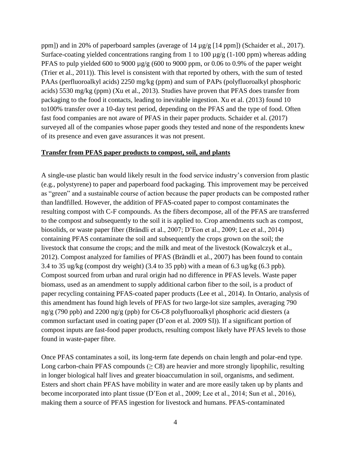ppm]) and in 20% of paperboard samples (average of  $14 \mu g/g$  [14 ppm]) (Schaider et al., 2017). Surface-coating yielded concentrations ranging from 1 to 100  $\mu$ g/g (1-100 ppm) whereas adding PFAS to pulp yielded 600 to 9000  $\mu$ g/g (600 to 9000 ppm, or 0.06 to 0.9% of the paper weight (Trier et al., 2011)). This level is consistent with that reported by others, with the sum of tested PAAs (perfluoroalkyl acids) 2250 mg/kg (ppm) and sum of PAPs (polyfluoroalkyl phosphoric acids) 5530 mg/kg (ppm) (Xu et al., 2013). Studies have proven that PFAS does transfer from packaging to the food it contacts, leading to inevitable ingestion. Xu et al. (2013) found 10 to100% transfer over a 10-day test period, depending on the PFAS and the type of food. Often fast food companies are not aware of PFAS in their paper products. Schaider et al. (2017) surveyed all of the companies whose paper goods they tested and none of the respondents knew of its presence and even gave assurances it was not present.

#### **Transfer from PFAS paper products to compost, soil, and plants**

A single-use plastic ban would likely result in the food service industry's conversion from plastic (e.g., polystyrene) to paper and paperboard food packaging. This improvement may be perceived as "green" and a sustainable course of action because the paper products can be composted rather than landfilled. However, the addition of PFAS-coated paper to compost contaminates the resulting compost with C-F compounds. As the fibers decompose, all of the PFAS are transferred to the compost and subsequently to the soil it is applied to. Crop amendments such as compost, biosolids, or waste paper fiber (Brändli et al., 2007; D'Eon et al., 2009; Lee et al., 2014) containing PFAS contaminate the soil and subsequently the crops grown on the soil; the livestock that consume the crops; and the milk and meat of the livestock (Kowalczyk et al., 2012). Compost analyzed for families of PFAS (Brändli et al., 2007) has been found to contain 3.4 to 35 ug/kg (compost dry weight) (3.4 to 35 ppb) with a mean of 6.3 ug/kg (6.3 ppb). Compost sourced from urban and rural origin had no difference in PFAS levels. Waste paper biomass, used as an amendment to supply additional carbon fiber to the soil, is a product of paper recycling containing PFAS-coated paper products (Lee et al., 2014). In Ontario, analysis of this amendment has found high levels of PFAS for two large-lot size samples, averaging 790 ng/g (790 ppb) and 2200 ng/g (ppb) for C6-C8 polyfluoroalkyl phosphoric acid diesters (a common surfactant used in coating paper (D'eon et al. 2009 SI)). If a significant portion of compost inputs are fast-food paper products, resulting compost likely have PFAS levels to those found in waste-paper fibre.

Once PFAS contaminates a soil, its long-term fate depends on chain length and polar-end type. Long carbon-chain PFAS compounds  $(2)$  are heavier and more strongly lipophilic, resulting in longer biological half lives and greater bioaccumulation in soil, organisms, and sediment. Esters and short chain PFAS have mobility in water and are more easily taken up by plants and become incorporated into plant tissue (D'Eon et al., 2009; Lee et al., 2014; Sun et al., 2016), making them a source of PFAS ingestion for livestock and humans. PFAS-contaminated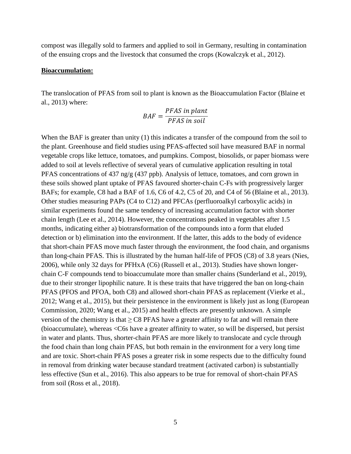compost was illegally sold to farmers and applied to soil in Germany, resulting in contamination of the ensuing crops and the livestock that consumed the crops (Kowalczyk et al., 2012).

#### **Bioaccumulation:**

The translocation of PFAS from soil to plant is known as the Bioaccumulation Factor (Blaine et al., 2013) where:

$$
BAF = \frac{PFAS \text{ in plant}}{PFAS \text{ in soil}}
$$

When the BAF is greater than unity (1) this indicates a transfer of the compound from the soil to the plant. Greenhouse and field studies using PFAS-affected soil have measured BAF in normal vegetable crops like lettuce, tomatoes, and pumpkins. Compost, biosolids, or paper biomass were added to soil at levels reflective of several years of cumulative application resulting in total PFAS concentrations of 437 ng/g (437 ppb). Analysis of lettuce, tomatoes, and corn grown in these soils showed plant uptake of PFAS favoured shorter-chain C-Fs with progressively larger BAFs; for example, C8 had a BAF of 1.6, C6 of 4.2, C5 of 20, and C4 of 56 (Blaine et al., 2013). Other studies measuring PAPs (C4 to C12) and PFCAs (perfluoroalkyl carboxylic acids) in similar experiments found the same tendency of increasing accumulation factor with shorter chain length (Lee et al., 2014). However, the concentrations peaked in vegetables after 1.5 months, indicating either a) biotransformation of the compounds into a form that eluded detection or b) elimination into the environment. If the latter, this adds to the body of evidence that short-chain PFAS move much faster through the environment, the food chain, and organisms than long-chain PFAS. This is illustrated by the human half-life of PFOS (C8) of 3.8 years (Nies, 2006), while only 32 days for PFHxA (C6) (Russell et al., 2013). Studies have shown longerchain C-F compounds tend to bioaccumulate more than smaller chains (Sunderland et al., 2019), due to their stronger lipophilic nature. It is these traits that have triggered the ban on long-chain PFAS (PFOS and PFOA, both C8) and allowed short-chain PFAS as replacement (Vierke et al., 2012; Wang et al., 2015), but their persistence in the environment is likely just as long (European Commission, 2020; Wang et al., 2015) and health effects are presently unknown. A simple version of the chemistry is that  $\geq$  C8 PFAS have a greater affinity to fat and will remain there (bioaccumulate), whereas <C6s have a greater affinity to water, so will be dispersed, but persist in water and plants. Thus, shorter-chain PFAS are more likely to translocate and cycle through the food chain than long chain PFAS, but both remain in the environment for a very long time and are toxic. Short-chain PFAS poses a greater risk in some respects due to the difficulty found in removal from drinking water because standard treatment (activated carbon) is substantially less effective (Sun et al., 2016). This also appears to be true for removal of short-chain PFAS from soil (Ross et al., 2018).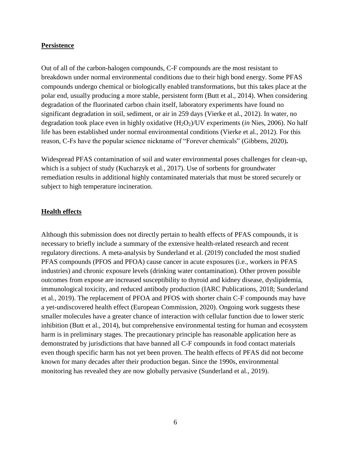#### **Persistence**

Out of all of the carbon-halogen compounds, C-F compounds are the most resistant to breakdown under normal environmental conditions due to their high bond energy. Some PFAS compounds undergo chemical or biologically enabled transformations, but this takes place at the polar end, usually producing a more stable, persistent form (Butt et al., 2014). When considering degradation of the fluorinated carbon chain itself, laboratory experiments have found no significant degradation in soil, sediment, or air in 259 days (Vierke et al., 2012). In water, no degradation took place even in highly oxidative (H2O2)/UV experiments (*in* Nies, 2006). No half life has been established under normal environmental conditions (Vierke et al., 2012). For this reason, C-Fs have the popular science nickname of "Forever chemicals" (Gibbens, 2020)**.**

Widespread PFAS contamination of soil and water environmental poses challenges for clean-up, which is a subject of study (Kucharzyk et al., 2017). Use of sorbents for groundwater remediation results in additional highly contaminated materials that must be stored securely or subject to high temperature incineration.

### **Health effects**

Although this submission does not directly pertain to health effects of PFAS compounds, it is necessary to briefly include a summary of the extensive health-related research and recent regulatory directions. A meta-analysis by Sunderland et al. (2019) concluded the most studied PFAS compounds (PFOS and PFOA) cause cancer in acute exposures (i.e., workers in PFAS industries) and chronic exposure levels (drinking water contamination). Other proven possible outcomes from expose are increased susceptibility to thyroid and kidney disease, dyslipidemia, immunological toxicity, and reduced antibody production (IARC Publications, 2018; Sunderland et al., 2019). The replacement of PFOA and PFOS with shorter chain C-F compounds may have a yet-undiscovered health effect (European Commission, 2020). Ongoing work suggests these smaller molecules have a greater chance of interaction with cellular function due to lower steric inhibition (Butt et al., 2014), but comprehensive environmental testing for human and ecosystem harm is in preliminary stages. The precautionary principle has reasonable application here as demonstrated by jurisdictions that have banned all C-F compounds in food contact materials even though specific harm has not yet been proven. The health effects of PFAS did not become known for many decades after their production began. Since the 1990s, environmental monitoring has revealed they are now globally pervasive (Sunderland et al., 2019).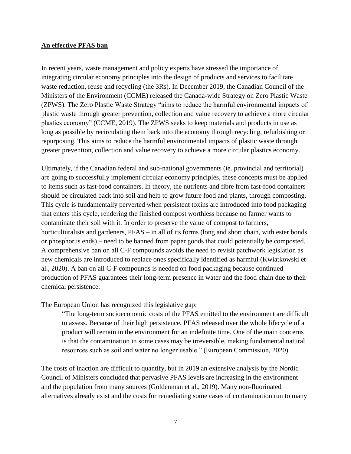### **An effective PFAS ban**

In recent years, waste management and policy experts have stressed the importance of integrating circular economy principles into the design of products and services to facilitate waste reduction, reuse and recycling (the 3Rs). In December 2019, the Canadian Council of the Ministers of the Environment (CCME) released the Canada-wide Strategy on Zero Plastic Waste (ZPWS). The Zero Plastic Waste Strategy "aims to reduce the harmful environmental impacts of plastic waste through greater prevention, collection and value recovery to achieve a more circular plastics economy" (CCME, 2019). The ZPWS seeks to keep materials and products in use as long as possible by recirculating them back into the economy through recycling, refurbishing or repurposing. This aims to reduce the harmful environmental impacts of plastic waste through greater prevention, collection and value recovery to achieve a more circular plastics economy.

Ultimately, if the Canadian federal and sub-national governments (ie. provincial and territorial) are going to successfully implement circular economy principles, these concepts must be applied to items such as fast-food containers. In theory, the nutrients and fibre from fast-food containers should be circulated back into soil and help to grow future food and plants, through composting. This cycle is fundamentally perverted when persistent toxins are introduced into food packaging that enters this cycle, rendering the finished compost worthless because no farmer wants to contaminate their soil with it. In order to preserve the value of compost to farmers, horticulturalists and gardeners, PFAS – in all of its forms (long and short chain, with ester bonds or phosphorus ends) – need to be banned from paper goods that could potentially be composted. A comprehensive ban on all C-F compounds avoids the need to revisit patchwork legislation as new chemicals are introduced to replace ones specifically identified as harmful (Kwiatkowski et al., 2020). A ban on all C-F compounds is needed on food packaging because continued production of PFAS guarantees their long-term presence in water and the food chain due to their chemical persistence.

The European Union has recognized this legislative gap:

"The long-term socioeconomic costs of the PFAS emitted to the environment are difficult to assess. Because of their high persistence, PFAS released over the whole lifecycle of a product will remain in the environment for an indefinite time. One of the main concerns is that the contamination in some cases may be irreversible, making fundamental natural resources such as soil and water no longer usable." (European Commission, 2020)

The costs of inaction are difficult to quantify, but in 2019 an extensive analysis by the Nordic Council of Ministers concluded that pervasive PFAS levels are increasing in the environment and the population from many sources (Goldenman et al., 2019). Many non-fluorinated alternatives already exist and the costs for remediating some cases of contamination run to many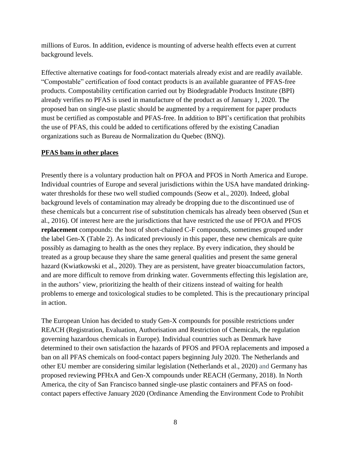millions of Euros. In addition, evidence is mounting of adverse health effects even at current background levels.

Effective alternative coatings for food-contact materials already exist and are readily available. "Compostable" certification of food contact products is an available guarantee of PFAS-free products. Compostability certification carried out by Biodegradable Products Institute (BPI) already verifies no PFAS is used in manufacture of the product as of January 1, 2020. The proposed ban on single-use plastic should be augmented by a requirement for paper products must be certified as compostable and PFAS-free. In addition to BPI's certification that prohibits the use of PFAS, this could be added to certifications offered by the existing Canadian organizations such as Bureau de Normalization du Quebec (BNQ).

## **PFAS bans in other places**

Presently there is a voluntary production halt on PFOA and PFOS in North America and Europe. Individual countries of Europe and several jurisdictions within the USA have mandated drinkingwater thresholds for these two well studied compounds (Seow et al., 2020). Indeed, global background levels of contamination may already be dropping due to the discontinued use of these chemicals but a concurrent rise of substitution chemicals has already been observed (Sun et al., 2016). Of interest here are the jurisdictions that have restricted the use of PFOA and PFOS **replacement** compounds: the host of short-chained C-F compounds, sometimes grouped under the label Gen-X (Table 2). As indicated previously in this paper, these new chemicals are quite possibly as damaging to health as the ones they replace. By every indication, they should be treated as a group because they share the same general qualities and present the same general hazard (Kwiatkowski et al., 2020). They are as persistent, have greater bioaccumulation factors, and are more difficult to remove from drinking water. Governments effecting this legislation are, in the authors' view, prioritizing the health of their citizens instead of waiting for health problems to emerge and toxicological studies to be completed. This is the precautionary principal in action.

The European Union has decided to study Gen-X compounds for possible restrictions under REACH (Registration, Evaluation, Authorisation and Restriction of Chemicals, the regulation governing hazardous chemicals in Europe). Individual countries such as Denmark have determined to their own satisfaction the hazards of PFOS and PFOA replacements and imposed a ban on all PFAS chemicals on food-contact papers beginning July 2020. The Netherlands and other EU member are considering similar legislation (Netherlands et al., 2020) and Germany has proposed reviewing PFHxA and Gen-X compounds under REACH (Germany, 2018). In North America, the city of San Francisco banned single-use plastic containers and PFAS on foodcontact papers effective January 2020 (Ordinance Amending the Environment Code to Prohibit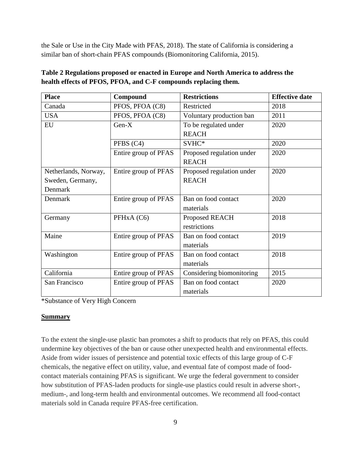the Sale or Use in the City Made with PFAS, 2018). The state of California is considering a similar ban of short-chain PFAS compounds (Biomonitoring California, 2015).

| <b>Place</b>         | Compound             | <b>Restrictions</b>       | <b>Effective date</b> |
|----------------------|----------------------|---------------------------|-----------------------|
| Canada               | PFOS, PFOA (C8)      | Restricted                | 2018                  |
| <b>USA</b>           | PFOS, PFOA (C8)      | Voluntary production ban  | 2011                  |
| EU                   | $Gen-X$              | To be regulated under     | 2020                  |
|                      |                      | <b>REACH</b>              |                       |
|                      | PFBS (C4)            | SVHC*                     | 2020                  |
|                      | Entire group of PFAS | Proposed regulation under | 2020                  |
|                      |                      | <b>REACH</b>              |                       |
| Netherlands, Norway, | Entire group of PFAS | Proposed regulation under | 2020                  |
| Sweden, Germany,     |                      | <b>REACH</b>              |                       |
| Denmark              |                      |                           |                       |
| Denmark              | Entire group of PFAS | Ban on food contact       | 2020                  |
|                      |                      | materials                 |                       |
| Germany              | PFHxA (C6)           | Proposed REACH            | 2018                  |
|                      |                      | restrictions              |                       |
| Maine                | Entire group of PFAS | Ban on food contact       | 2019                  |
|                      |                      | materials                 |                       |
| Washington           | Entire group of PFAS | Ban on food contact       | 2018                  |
|                      |                      | materials                 |                       |
| California           | Entire group of PFAS | Considering biomonitoring | 2015                  |
| San Francisco        | Entire group of PFAS | Ban on food contact       | 2020                  |
|                      |                      | materials                 |                       |

| Table 2 Regulations proposed or enacted in Europe and North America to address the |
|------------------------------------------------------------------------------------|
| health effects of PFOS, PFOA, and C-F compounds replacing them.                    |

\*Substance of Very High Concern

# **Summary**

To the extent the single-use plastic ban promotes a shift to products that rely on PFAS, this could undermine key objectives of the ban or cause other unexpected health and environmental effects. Aside from wider issues of persistence and potential toxic effects of this large group of C-F chemicals, the negative effect on utility, value, and eventual fate of compost made of foodcontact materials containing PFAS is significant. We urge the federal government to consider how substitution of PFAS-laden products for single-use plastics could result in adverse short-, medium-, and long-term health and environmental outcomes. We recommend all food-contact materials sold in Canada require PFAS-free certification.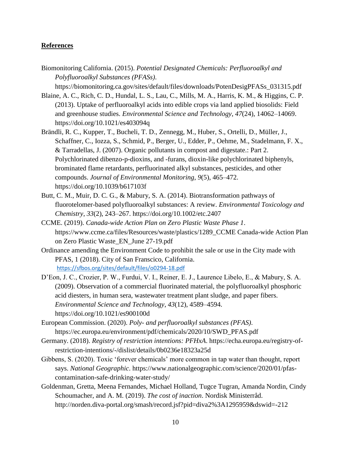## **References**

Biomonitoring California. (2015). *Potential Designated Chemicals: Perfluoroalkyl and Polyfluoroalkyl Substances (PFASs)*.

https://biomonitoring.ca.gov/sites/default/files/downloads/PotenDesigPFASs\_031315.pdf

- Blaine, A. C., Rich, C. D., Hundal, L. S., Lau, C., Mills, M. A., Harris, K. M., & Higgins, C. P. (2013). Uptake of perfluoroalkyl acids into edible crops via land applied biosolids: Field and greenhouse studies. *Environmental Science and Technology*, *47*(24), 14062–14069. https://doi.org/10.1021/es403094q
- Brändli, R. C., Kupper, T., Bucheli, T. D., Zennegg, M., Huber, S., Ortelli, D., Müller, J., Schaffner, C., Iozza, S., Schmid, P., Berger, U., Edder, P., Oehme, M., Stadelmann, F. X., & Tarradellas, J. (2007). Organic pollutants in compost and digestate.: Part 2. Polychlorinated dibenzo-p-dioxins, and -furans, dioxin-like polychlorinated biphenyls, brominated flame retardants, perfluorinated alkyl substances, pesticides, and other compounds. *Journal of Environmental Monitoring*, *9*(5), 465–472. https://doi.org/10.1039/b617103f
- Butt, C. M., Muir, D. C. G., & Mabury, S. A. (2014). Biotransformation pathways of fluorotelomer-based polyfluoroalkyl substances: A review. *Environmental Toxicology and Chemistry*, *33*(2), 243–267. https://doi.org/10.1002/etc.2407
- CCME. (2019). *Canada-wide Action Plan on Zero Plastic Waste Phase 1*. https://www.ccme.ca/files/Resources/waste/plastics/1289\_CCME Canada-wide Action Plan on Zero Plastic Waste\_EN\_June 27-19.pdf
- Ordinance amending the Environment Code to prohibit the sale or use in the City made with PFAS, 1 (2018). City of San Franscico, California. <https://sfbos.org/sites/default/files/o0294-18.pdf>
- D'Eon, J. C., Crozier, P. W., Furdui, V. I., Reiner, E. J., Laurence Libelo, E., & Mabury, S. A. (2009). Observation of a commercial fluorinated material, the polyfluoroalkyl phosphoric acid diesters, in human sera, wastewater treatment plant sludge, and paper fibers. *Environmental Science and Technology*, *43*(12), 4589–4594. https://doi.org/10.1021/es900100d
- European Commission. (2020). *Poly- and perfluoroalkyl substances (PFAS)*. https://ec.europa.eu/environment/pdf/chemicals/2020/10/SWD\_PFAS.pdf
- Germany. (2018). *Registry of restriction intentions: PFHxA*. https://echa.europa.eu/registry-ofrestriction-intentions/-/dislist/details/0b0236e18323a25d
- Gibbens, S. (2020). Toxic 'forever chemicals' more common in tap water than thought, report says. *National Geographic*. https://www.nationalgeographic.com/science/2020/01/pfascontamination-safe-drinking-water-study/
- Goldenman, Gretta, Meena Fernandes, Michael Holland, Tugce Tugran, Amanda Nordin, Cindy Schoumacher, and A. M. (2019). *The cost of inaction*. Nordisk Ministerråd. http://norden.diva-portal.org/smash/record.jsf?pid=diva2%3A1295959&dswid=-212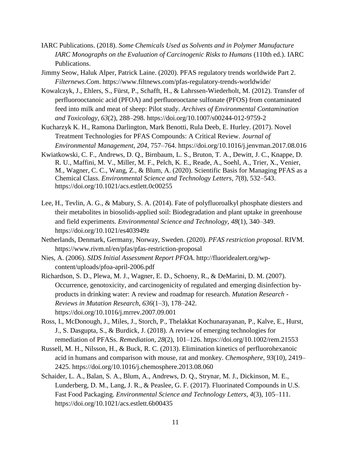- IARC Publications. (2018). *Some Chemicals Used as Solvents and in Polymer Manufacture IARC Monographs on the Evaluation of Carcinogenic Risks to Humans* (110th ed.). IARC Publications.
- Jimmy Seow, Haluk Alper, Patrick Laine. (2020). PFAS regulatory trends worldwide Part 2. *Filternews.Com*. https://www.filtnews.com/pfas-regulatory-trends-worldwide/
- Kowalczyk, J., Ehlers, S., Fürst, P., Schafft, H., & Lahrssen-Wiederholt, M. (2012). Transfer of perfluorooctanoic acid (PFOA) and perfluorooctane sulfonate (PFOS) from contaminated feed into milk and meat of sheep: Pilot study. *Archives of Environmental Contamination and Toxicology*, *63*(2), 288–298. https://doi.org/10.1007/s00244-012-9759-2
- Kucharzyk K. H., Ramona Darlington, Mark Benotti, Rula Deeb, E. Hurley. (2017). Novel Treatment Technologies for PFAS Compounds: A Critical Review. *Journal of Environmental Management*, *204*, 757–764. https://doi.org/10.1016/j.jenvman.2017.08.016
- Kwiatkowski, C. F., Andrews, D. Q., Birnbaum, L. S., Bruton, T. A., Dewitt, J. C., Knappe, D. R. U., Maffini, M. V., Miller, M. F., Pelch, K. E., Reade, A., Soehl, A., Trier, X., Venier, M., Wagner, C. C., Wang, Z., & Blum, A. (2020). Scientific Basis for Managing PFAS as a Chemical Class. *Environmental Science and Technology Letters*, *7*(8), 532–543. https://doi.org/10.1021/acs.estlett.0c00255
- Lee, H., Tevlin, A. G., & Mabury, S. A. (2014). Fate of polyfluoroalkyl phosphate diesters and their metabolites in biosolids-applied soil: Biodegradation and plant uptake in greenhouse and field experiments. *Environmental Science and Technology*, *48*(1), 340–349. https://doi.org/10.1021/es403949z
- Netherlands, Denmark, Germany, Norway, Sweden. (2020). *PFAS restriction proposal*. RIVM. https://www.rivm.nl/en/pfas/pfas-restriction-proposal
- Nies, A. (2006). *SIDS Initial Assessment Report PFOA*. http://fluoridealert.org/wpcontent/uploads/pfoa-april-2006.pdf
- Richardson, S. D., Plewa, M. J., Wagner, E. D., Schoeny, R., & DeMarini, D. M. (2007). Occurrence, genotoxicity, and carcinogenicity of regulated and emerging disinfection byproducts in drinking water: A review and roadmap for research. *Mutation Research - Reviews in Mutation Research*, *636*(1–3), 178–242. https://doi.org/10.1016/j.mrrev.2007.09.001
- Ross, I., McDonough, J., Miles, J., Storch, P., Thelakkat Kochunarayanan, P., Kalve, E., Hurst, J., S. Dasgupta, S., & Burdick, J. (2018). A review of emerging technologies for remediation of PFASs. *Remediation*, *28*(2), 101–126. https://doi.org/10.1002/rem.21553
- Russell, M. H., Nilsson, H., & Buck, R. C. (2013). Elimination kinetics of perfluorohexanoic acid in humans and comparison with mouse, rat and monkey. *Chemosphere*, *93*(10), 2419– 2425. https://doi.org/10.1016/j.chemosphere.2013.08.060
- Schaider, L. A., Balan, S. A., Blum, A., Andrews, D. Q., Strynar, M. J., Dickinson, M. E., Lunderberg, D. M., Lang, J. R., & Peaslee, G. F. (2017). Fluorinated Compounds in U.S. Fast Food Packaging. *Environmental Science and Technology Letters*, *4*(3), 105–111. https://doi.org/10.1021/acs.estlett.6b00435